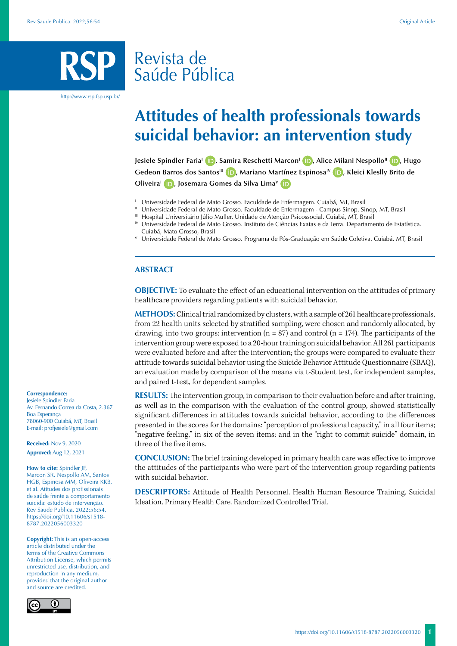# Revista de Saúde Pública

http://www.rsp.fsp.usp.br/

# **Attitudes of health professionals towards suicidal behavior: an intervention study**

**Jesiele Spindler Faria<sup>I</sup> <b>D**[,](https://orcid.org/0000-0003-1307-0350) Samira Reschetti Marcon<sup>I</sup> **D**[,](https://orcid.org/0000-0002-5191-3331) Alice Milani Nespollo<sup>II</sup> **D**, Hugo Gedeon Barros dos Santos<sup>III</sup> **(D)**[,](https://orcid.org/0000-0001-7713-1314) Mariano Martínez Espinosa<sup>IV</sup> **(D)**[,](https://orcid.org/0000-0002-0461-5673) Kleici Kleslly Brito de **OliveiraI [,](https://orcid.org/0000-0003-0146-3720) Josemara Gomes da Silva LimaV**

- <sup>1</sup> Universidade Federal de Mato Grosso. Faculdade de Enfermagem. Cuiabá, MT, Brasil
- <sup>11</sup> Universidade Federal de Mato Grosso. Faculdade de Enfermagem Campus Sinop. Sinop, MT, Brasil
- III Hospital Universitário Júlio Muller. Unidade de Atenção Psicossocial. Cuiabá, MT, Brasil
- IV Universidade Federal de Mato Grosso. Instituto de Ciências Exatas e da Terra. Departamento de Estatística. Cuiabá, Mato Grosso, Brasil
- <sup>V</sup> Universidade Federal de Mato Grosso. Programa de Pós-Graduação em Saúde Coletiva. Cuiabá, MT, Brasil

#### **ABSTRACT**

**OBJECTIVE:** To evaluate the effect of an educational intervention on the attitudes of primary healthcare providers regarding patients with suicidal behavior.

**METHODS:** Clinical trial randomized by clusters, with a sample of 261 healthcare professionals, from 22 health units selected by stratified sampling, were chosen and randomly allocated, by drawing, into two groups: intervention  $(n = 87)$  and control  $(n = 174)$ . The participants of the intervention group were exposed to a 20-hour training on suicidal behavior. All 261 participants were evaluated before and after the intervention; the groups were compared to evaluate their attitude towards suicidal behavior using the Suicide Behavior Attitude Questionnaire (SBAQ), an evaluation made by comparison of the means via t-Student test, for independent samples, and paired t-test, for dependent samples.

**RESULTS:** The intervention group, in comparison to their evaluation before and after training, as well as in the comparison with the evaluation of the control group, showed statistically significant differences in attitudes towards suicidal behavior, according to the differences presented in the scoresfor the domains: "perception of professional capacity," in all four items; "negative feeling," in six of the seven items; and in the "right to commit suicide" domain, in three of the five items.

**CONCLUSION:** The brief training developed in primary health care was effective to improve the attitudes of the participants who were part of the intervention group regarding patients with suicidal behavior.

**DESCRIPTORS:** Attitude of Health Personnel. Health Human Resource Training. Suicidal Ideation. Primary Health Care. Randomized Controlled Trial.

**Correspondence:** Jesiele Spindler Faria Av. Fernando Correa da Costa, 2.367 Boa Esperança 78060-900 Cuiabá, MT, Brasil E-mail: profjesiele@gmail.com

**Received:** Nov 9, 2020 **Approved:** Aug 12, 2021

**How to cite:** Spindler JF, Marcon SR, Nespollo AM, Santos HGB, Espinosa MM, Oliveira KKB, et al. Atitudes dos profissionais de saúde frente a comportamento suicida: estudo de intervenção. Rev Saude Publica. 2022;56:54. https://doi.org/10.11606/s1518- 8787.2022056003320

**Copyright:** This is an open-access article distributed under the terms of the Creative Commons Attribution License, which permits unrestricted use, distribution, and reproduction in any medium, provided that the original author and source are credited.

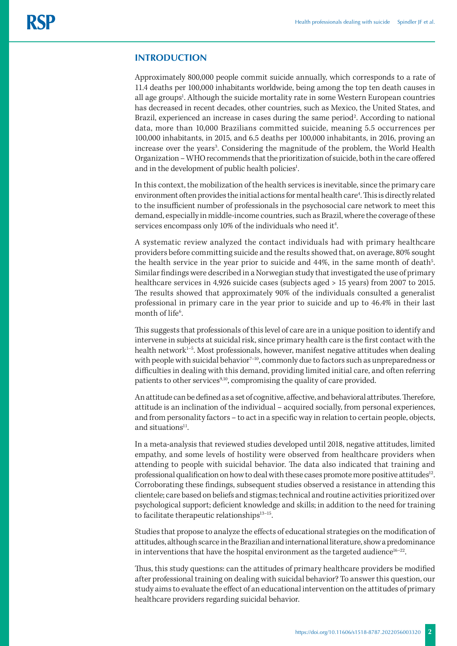## **INTRODUCTION**

Approximately 800,000 people commit suicide annually, which corresponds to a rate of 11.4 deaths per 100,000 inhabitants worldwide, being among the top ten death causes in all age groups<sup>1</sup>. Although the suicide mortality rate in some Western European countries has decreased in recent decades, other countries, such as Mexico, the United States, and Brazil, experienced an increase in cases during the same period<sup>2</sup>. According to national data, more than 10,000 Brazilians committed suicide, meaning 5.5 occurrences per 100,000 inhabitants, in 2015, and 6.5 deaths per 100,000 inhabitants, in 2016, proving an increase over the years<sup>3</sup>. Considering the magnitude of the problem, the World Health Organization – WHO recommends that the prioritization of suicide, both in the care offered and in the development of public health policies<sup>1</sup>. .

In this context, the mobilization of the health services is inevitable, since the primary care environment often provides the initial actions for mental health care<sup>4</sup>. This is directly related to the insufficient number of professionals in the psychosocial care network to meet this demand, especially in middle-income countries, such as Brazil, where the coverage of these services encompass only 10% of the individuals who need it<sup>4</sup>. .

A systematic review analyzed the contact individuals had with primary healthcare providers before committing suicide and the results showed that, on average, 80% sought the health service in the year prior to suicide and  $44\%$ , in the same month of death<sup>5</sup>. Similar findings were described in a Norwegian study that investigated the use of primary healthcare services in 4,926 suicide cases (subjects aged > 15 years) from 2007 to 2015. The results showed that approximately 90% of the individuals consulted a generalist professional in primary care in the year prior to suicide and up to 46.4% in their last month of life<sup>6</sup>. .

This suggests that professionals of this level of care are in a unique position to identify and intervene in subjects at suicidal risk, since primary health care is the first contact with the health network<sup>1-5</sup>. Most professionals, however, manifest negative attitudes when dealing with people with suicidal behavior<sup>7-10</sup>, commonly due to factors such as unpreparedness or difficulties in dealing with this demand, providing limited initial care, and often referring patients to other services<sup>9,10</sup>, compromising the quality of care provided.

An attitude can be defined as a set of cognitive, affective, and behavioral attributes. Therefore, attitude is an inclination of the individual – acquired socially, from personal experiences, and from personality factors – to act in a specific way in relation to certain people, objects, and situations $11$ .

In a meta-analysis that reviewed studies developed until 2018, negative attitudes, limited empathy, and some levels of hostility were observed from healthcare providers when attending to people with suicidal behavior. The data also indicated that training and professional qualification on how to deal with these cases promote more positive attitudes<sup>12</sup>. Corroborating these findings, subsequent studies observed a resistance in attending this clientele; care based on beliefs and stigmas; technical and routine activities prioritized over psychological support; deficient knowledge and skills; in addition to the need for training to facilitate therapeutic relationships $13-15$ .

Studies that propose to analyze the effects of educational strategies on the modification of attitudes, although scarce in the Brazilian and international literature, show a predominance in interventions that have the hospital environment as the targeted audience<sup>16-22</sup>.

Thus, this study questions: can the attitudes of primary healthcare providers be modified after professional training on dealing with suicidal behavior? To answer this question, our study aims to evaluate the effect of an educational intervention on the attitudes of primary healthcare providers regarding suicidal behavior.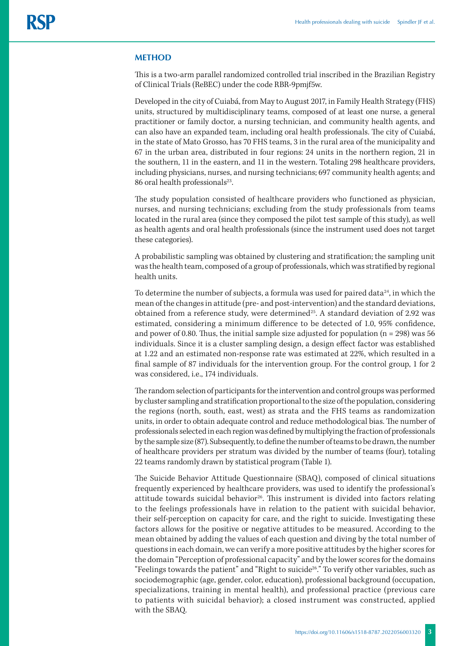#### **METHOD**

This is a two-arm parallel randomized controlled trial inscribed in the Brazilian Registry of Clinical Trials (ReBEC) under the code RBR-9pmjf5w.

Developed in the city of Cuiabá, from May to August 2017, in Family Health Strategy (FHS) units, structured by multidisciplinary teams, composed of at least one nurse, a general practitioner or family doctor, a nursing technician, and community health agents, and can also have an expanded team, including oral health professionals. The city of Cuiabá, in the state of Mato Grosso, has 70 FHS teams, 3 in the rural area of the municipality and 67 in the urban area, distributed in four regions: 24 units in the northern region, 21 in the southern, 11 in the eastern, and 11 in the western. Totaling 298 healthcare providers, including physicians, nurses, and nursing technicians; 697 community health agents; and 86 oral health professionals<sup>23</sup>.

The study population consisted of healthcare providers who functioned as physician, nurses, and nursing technicians; excluding from the study professionals from teams located in the rural area (since they composed the pilot test sample of this study), as well as health agents and oral health professionals (since the instrument used does not target these categories).

A probabilistic sampling was obtained by clustering and stratification; the sampling unit was the health team, composed of a group of professionals, which was stratified by regional health units.

To determine the number of subjects, a formula was used for paired data $24$ , in which the mean of the changes in attitude (pre- and post-intervention) and the standard deviations, obtained from a reference study, were determined<sup>25</sup>. A standard deviation of 2.92 was estimated, considering a minimum difference to be detected of 1.0, 95% confidence, and power of 0.80. Thus, the initial sample size adjusted for population ( $n = 298$ ) was 56 individuals. Since it is a cluster sampling design, a design effect factor was established at 1.22 and an estimated non-response rate was estimated at 22%, which resulted in a final sample of 87 individuals for the intervention group. For the control group, 1 for 2 was considered, i.e., 174 individuals.

The random selection of participants for the intervention and control groups was performed by cluster sampling and stratification proportional to the size of the population, considering the regions (north, south, east, west) as strata and the FHS teams as randomization units, in order to obtain adequate control and reduce methodological bias. The number of professionals selected in each region was defined by multiplying the fraction of professionals by the sample size (87). Subsequently, to define the number of teams to be drawn, the number of healthcare providers per stratum was divided by the number of teams (four), totaling 22 teams randomly drawn by statistical program (Table 1).

The Suicide Behavior Attitude Questionnaire (SBAQ), composed of clinical situations frequently experienced by healthcare providers, was used to identify the professional's attitude towards suicidal behavior<sup>26</sup>. This instrument is divided into factors relating to the feelings professionals have in relation to the patient with suicidal behavior, their self-perception on capacity for care, and the right to suicide. Investigating these factors allows for the positive or negative attitudes to be measured. According to the mean obtained by adding the values of each question and diving by the total number of questions in each domain, we can verify a more positive attitudes by the higher scores for the domain "Perception of professional capacity" and by the lower scores for the domains "Feelings towards the patient" and "Right to suicide<sup>26</sup>." To verify other variables, such as sociodemographic (age, gender, color, education), professional background (occupation, specializations, training in mental health), and professional practice (previous care to patients with suicidal behavior); a closed instrument was constructed, applied with the SBAQ.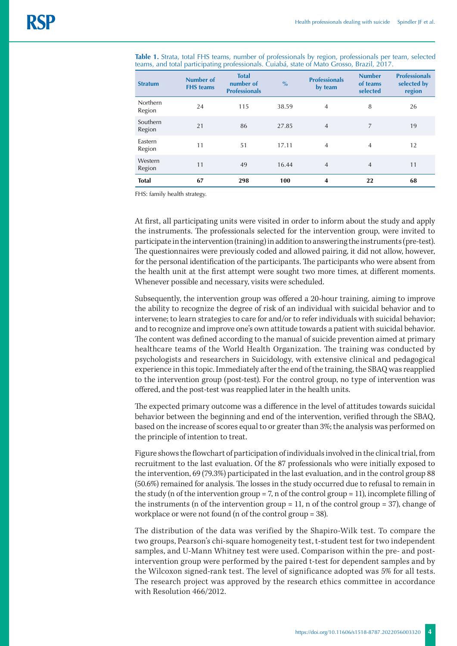| <b>Stratum</b>     | <b>Number of</b><br><b>FHS</b> teams | <b>Total</b><br>number of<br><b>Professionals</b> | $\frac{6}{6}$ | <b>Professionals</b><br>by team | <b>Number</b><br>of teams<br>selected | <b>Professionals</b><br>selected by<br>region |
|--------------------|--------------------------------------|---------------------------------------------------|---------------|---------------------------------|---------------------------------------|-----------------------------------------------|
| Northern<br>Region | 24                                   | 115                                               | 38.59         | $\overline{4}$                  | 8                                     | 26                                            |
| Southern<br>Region | 21                                   | 86                                                | 27.85         | $\overline{4}$                  | 7                                     | 19                                            |
| Eastern<br>Region  | 11                                   | 51                                                | 17.11         | $\overline{4}$                  | 4                                     | 12                                            |
| Western<br>Region  | 11                                   | 49                                                | 16.44         | $\overline{4}$                  | $\overline{4}$                        | 11                                            |
| <b>Total</b>       | 67                                   | 298                                               | 100           | 4                               | 22                                    | 68                                            |

**Table 1.** Strata, total FHS teams, number of professionals by region, professionals per team, selected teams, and total participating professionals. Cuiabá, state of Mato Grosso, Brazil, 2017.

FHS: family health strategy.

At first, all participating units were visited in order to inform about the study and apply the instruments. The professionals selected for the intervention group, were invited to participate in the intervention (training) in addition to answering the instruments (pre-test). The questionnaires were previously coded and allowed pairing, it did not allow, however, for the personal identification of the participants. The participants who were absent from the health unit at the first attempt were sought two more times, at different moments. Whenever possible and necessary, visits were scheduled.

Subsequently, the intervention group was offered a 20-hour training, aiming to improve the ability to recognize the degree of risk of an individual with suicidal behavior and to intervene; to learn strategies to care for and/or to refer individuals with suicidal behavior; and to recognize and improve one's own attitude towards a patient with suicidal behavior. The content was defined according to the manual of suicide prevention aimed at primary healthcare teams of the World Health Organization. The training was conducted by psychologists and researchers in Suicidology, with extensive clinical and pedagogical experience in this topic. Immediately after the end of the training, the SBAQ was reapplied to the intervention group (post-test). For the control group, no type of intervention was offered, and the post-test was reapplied later in the health units.

The expected primary outcome was a difference in the level of attitudes towards suicidal behavior between the beginning and end of the intervention, verified through the SBAQ, based on the increase of scores equal to or greater than 3%; the analysis was performed on the principle of intention to treat.

Figure shows the flowchart of participation of individuals involved in the clinical trial, from recruitment to the last evaluation. Of the 87 professionals who were initially exposed to the intervention, 69 (79.3%) participated in the last evaluation, and in the control group 88 (50.6%) remained for analysis. The losses in the study occurred due to refusal to remain in the study (n of the intervention group = 7, n of the control group = 11), incomplete filling of the instruments (n of the intervention group  $= 11$ , n of the control group  $= 37$ ), change of workplace or were not found (n of the control group = 38).

The distribution of the data was verified by the Shapiro-Wilk test. To compare the two groups, Pearson's chi-square homogeneity test, t-student test for two independent samples, and U-Mann Whitney test were used. Comparison within the pre- and postintervention group were performed by the paired t-test for dependent samples and by the Wilcoxon signed-rank test. The level of significance adopted was 5% for all tests. The research project was approved by the research ethics committee in accordance with Resolution 466/2012.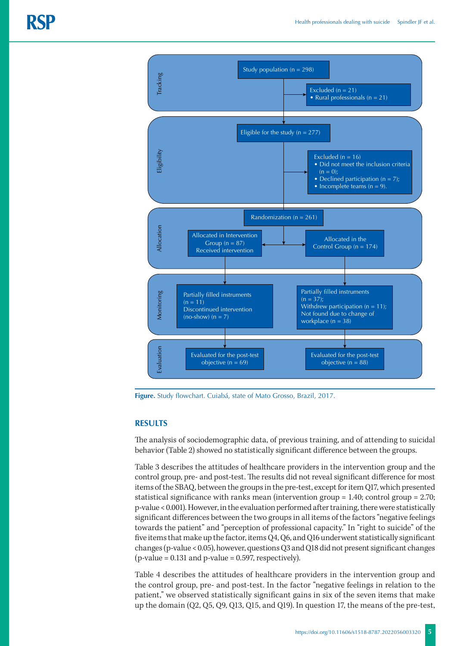

### **RESULTS**

The analysis of sociodemographic data, of previous training, and of attending to suicidal behavior (Table 2) showed no statistically significant difference between the groups.

Table 3 describes the attitudes of healthcare providers in the intervention group and the control group, pre- and post-test. The results did not reveal significant difference for most items of the SBAQ, between the groups in the pre-test, except for item Q17, which presented statistical significance with ranks mean (intervention group = 1.40; control group = 2.70; p-value < 0.001). However, in the evaluation performed after training, there were statistically significant differences between the two groups in all items of the factors "negative feelings towards the patient" and "perception of professional capacity." In "right to suicide" of the five items that make up the factor, items Q4, Q6, and Q16 underwent statistically significant changes (p-value < 0.05), however, questions Q3 and Q18 did not present significant changes  $(p-value = 0.131$  and  $p-value = 0.597$ , respectively).

Table 4 describes the attitudes of healthcare providers in the intervention group and the control group, pre- and post-test. In the factor "negative feelings in relation to the patient," we observed statistically significant gains in six of the seven items that make up the domain (Q2, Q5, Q9, Q13, Q15, and Q19). In question 17, the means of the pre-test,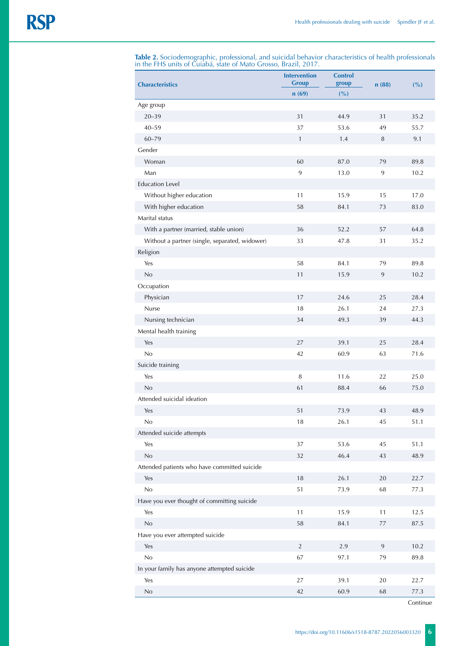| <b>Characteristics</b>                         | <b>Intervention</b><br><b>Group</b> | <b>Control</b><br>group | n(88)   | (%)  |  |
|------------------------------------------------|-------------------------------------|-------------------------|---------|------|--|
|                                                | n(69)                               | (%)                     |         |      |  |
| Age group                                      |                                     |                         |         |      |  |
| $20 - 39$                                      | 31                                  | 44.9                    | 31      | 35.2 |  |
| $40 - 59$                                      | 37                                  | 53.6                    | 49      | 55.7 |  |
| $60 - 79$                                      | $\mathbf{1}$                        | 1.4                     | 8       | 9.1  |  |
| Gender                                         |                                     |                         |         |      |  |
| Woman                                          | 60                                  | 87.0                    | 79      | 89.8 |  |
| Man                                            | 9                                   | 13.0                    | 9       | 10.2 |  |
| <b>Education Level</b>                         |                                     |                         |         |      |  |
| Without higher education                       | 11                                  | 15.9                    | 15      | 17.0 |  |
| With higher education                          | 58                                  | 84.1                    | 73      | 83.0 |  |
| Marital status                                 |                                     |                         |         |      |  |
| With a partner (married, stable union)         | 36                                  | 52.2                    | 57      | 64.8 |  |
| Without a partner (single, separated, widower) | 33                                  | 47.8                    | 31      | 35.2 |  |
| Religion                                       |                                     |                         |         |      |  |
| Yes                                            | 58                                  | 84.1                    | 79      | 89.8 |  |
| No                                             | 11                                  | 15.9                    | 9       | 10.2 |  |
| Occupation                                     |                                     |                         |         |      |  |
| Physician                                      | 17                                  | 24.6                    | 25      | 28.4 |  |
| Nurse                                          | 18                                  | 26.1                    | 24      | 27.3 |  |
| Nursing technician                             | 34                                  | 49.3                    | 39      | 44.3 |  |
| Mental health training                         |                                     |                         |         |      |  |
| Yes                                            | 27                                  | 39.1                    | 25      | 28.4 |  |
| No                                             | 42                                  | 60.9                    | 63      | 71.6 |  |
| Suicide training                               |                                     |                         |         |      |  |
| Yes                                            | $\, 8$                              | 11.6                    | 22      | 25.0 |  |
| No                                             | 61                                  | 88.4                    | 66      | 75.0 |  |
| Attended suicidal ideation                     |                                     |                         |         |      |  |
| Yes                                            | 51                                  | 73.9                    | 43      | 48.9 |  |
| No                                             | 18                                  | 26.1                    | 45      | 51.1 |  |
| Attended suicide attempts                      |                                     |                         |         |      |  |
| Yes                                            | 37                                  | 53.6                    | 45      | 51.1 |  |
| $\rm No$                                       | 32                                  | 46.4                    | 43      | 48.9 |  |
| Attended patients who have committed suicide   |                                     |                         |         |      |  |
| Yes                                            | 18                                  | 26.1                    | 20      | 22.7 |  |
| No                                             | 51                                  | 73.9                    | 68      | 77.3 |  |
| Have you ever thought of committing suicide    |                                     |                         |         |      |  |
| Yes                                            | 11                                  | 15.9                    | 11      | 12.5 |  |
| $\rm No$                                       | 58                                  | 84.1                    | $77 \,$ | 87.5 |  |
| Have you ever attempted suicide                |                                     |                         |         |      |  |
| Yes                                            | $\overline{2}$                      | 2.9                     | 9       | 10.2 |  |
| No                                             | 67                                  | 97.1                    | 79      | 89.8 |  |
| In your family has anyone attempted suicide    |                                     |                         |         |      |  |
| Yes                                            | 27                                  | 39.1                    | 20      | 22.7 |  |
| No                                             | 42                                  | 60.9                    | 68      | 77.3 |  |

**Table 2.** Sociodemographic, professional, and suicidal behavior characteristics of health professionals in the FHS units of Cuiabá, state of Mato Grosso, Brazil, 2017.

Continue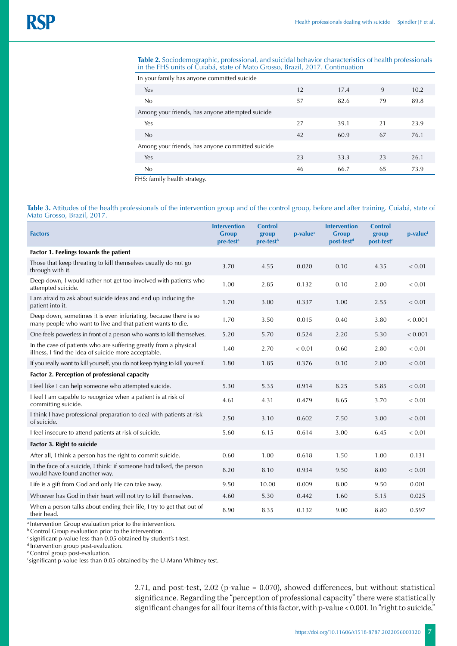#### **Table 2.** Sociodemographic, professional, and suicidal behavior characteristics of health professionals in the FHS units of Cuiabá, state of Mato Grosso, Brazil, 2017. Continuation

| In your family has anyone committed suicide      |    |      |    |      |  |  |
|--------------------------------------------------|----|------|----|------|--|--|
| Yes                                              | 12 | 17.4 | 9  | 10.2 |  |  |
| No                                               | 57 | 82.6 | 79 | 89.8 |  |  |
| Among your friends, has anyone attempted suicide |    |      |    |      |  |  |
| Yes                                              | 27 | 39.1 | 21 | 23.9 |  |  |
| No                                               | 42 | 60.9 | 67 | 76.1 |  |  |
| Among your friends, has anyone committed suicide |    |      |    |      |  |  |
| Yes                                              | 23 | 33.3 | 23 | 26.1 |  |  |
| No                                               | 46 | 66.7 | 65 | 73.9 |  |  |

FHS: family health strategy.

#### Table 3. Attitudes of the health professionals of the intervention group and of the control group, before and after training. Cuiabá, state of Mato Grosso, Brazil, 2017.

| <b>Factors</b>                                                                                                                  | <b>Intervention</b><br><b>Group</b><br>pre-test <sup>a</sup> | <b>Control</b><br>group<br>pre-test <sup>b</sup> | $p-valuec$ | <b>Intervention</b><br><b>Group</b><br>post-test <sup>d</sup> | <b>Control</b><br>group<br>post-test <sup>e</sup> | p-valuef   |
|---------------------------------------------------------------------------------------------------------------------------------|--------------------------------------------------------------|--------------------------------------------------|------------|---------------------------------------------------------------|---------------------------------------------------|------------|
| Factor 1. Feelings towards the patient                                                                                          |                                                              |                                                  |            |                                                               |                                                   |            |
| Those that keep threating to kill themselves usually do not go<br>through with it.                                              | 3.70                                                         | 4.55                                             | 0.020      | 0.10                                                          | 4.35                                              | < 0.01     |
| Deep down, I would rather not get too involved with patients who<br>attempted suicide.                                          | 1.00                                                         | 2.85                                             | 0.132      | 0.10                                                          | 2.00                                              | < 0.01     |
| I am afraid to ask about suicide ideas and end up inducing the<br>patient into it.                                              | 1.70                                                         | 3.00                                             | 0.337      | 1.00                                                          | 2.55                                              | < 0.01     |
| Deep down, sometimes it is even infuriating, because there is so<br>many people who want to live and that patient wants to die. | 1.70                                                         | 3.50                                             | 0.015      | 0.40                                                          | 3.80                                              | < 0.001    |
| One feels powerless in front of a person who wants to kill themselves.                                                          | 5.20                                                         | 5.70                                             | 0.524      | 2.20                                                          | 5.30                                              | < 0.001    |
| In the case of patients who are suffering greatly from a physical<br>illness, I find the idea of suicide more acceptable.       | 1.40                                                         | 2.70                                             | < 0.01     | 0.60                                                          | 2.80                                              | < 0.01     |
| If you really want to kill yourself, you do not keep trying to kill yourself.                                                   | 1.80                                                         | 1.85                                             | 0.376      | 0.10                                                          | 2.00                                              | ${}< 0.01$ |
| Factor 2. Perception of professional capacity                                                                                   |                                                              |                                                  |            |                                                               |                                                   |            |
| I feel like I can help someone who attempted suicide.                                                                           | 5.30                                                         | 5.35                                             | 0.914      | 8.25                                                          | 5.85                                              | < 0.01     |
| I feel I am capable to recognize when a patient is at risk of<br>committing suicide.                                            | 4.61                                                         | 4.31                                             | 0.479      | 8.65                                                          | 3.70                                              | < 0.01     |
| I think I have professional preparation to deal with patients at risk<br>of suicide.                                            | 2.50                                                         | 3.10                                             | 0.602      | 7.50                                                          | 3.00                                              | < 0.01     |
| I feel insecure to attend patients at risk of suicide.                                                                          | 5.60                                                         | 6.15                                             | 0.614      | 3.00                                                          | 6.45                                              | < 0.01     |
| Factor 3. Right to suicide                                                                                                      |                                                              |                                                  |            |                                                               |                                                   |            |
| After all, I think a person has the right to commit suicide.                                                                    | 0.60                                                         | 1.00                                             | 0.618      | 1.50                                                          | 1.00                                              | 0.131      |
| In the face of a suicide, I think: if someone had talked, the person<br>would have found another way.                           | 8.20                                                         | 8.10                                             | 0.934      | 9.50                                                          | 8.00                                              | ${}< 0.01$ |
| Life is a gift from God and only He can take away.                                                                              | 9.50                                                         | 10.00                                            | 0.009      | 8.00                                                          | 9.50                                              | 0.001      |
| Whoever has God in their heart will not try to kill themselves.                                                                 | 4.60                                                         | 5.30                                             | 0.442      | 1.60                                                          | 5.15                                              | 0.025      |
| When a person talks about ending their life, I try to get that out of<br>their head.                                            | 8.90                                                         | 8.35                                             | 0.132      | 9.00                                                          | 8.80                                              | 0.597      |

<sup>a</sup> Intervention Group evaluation prior to the intervention.

**b** Control Group evaluation prior to the intervention.

c significant p-value less than 0.05 obtained by student's t-test.

d Intervention group post-evaluation.

e Control group post-evaluation.

f significant p-value less than 0.05 obtained by the U-Mann Whitney test.

2.71, and post-test, 2.02 (p-value = 0.070), showed differences, but without statistical significance. Regarding the "perception of professional capacity" there were statistically significant changes for all four items of this factor, with p-value < 0.001. In "right to suicide,"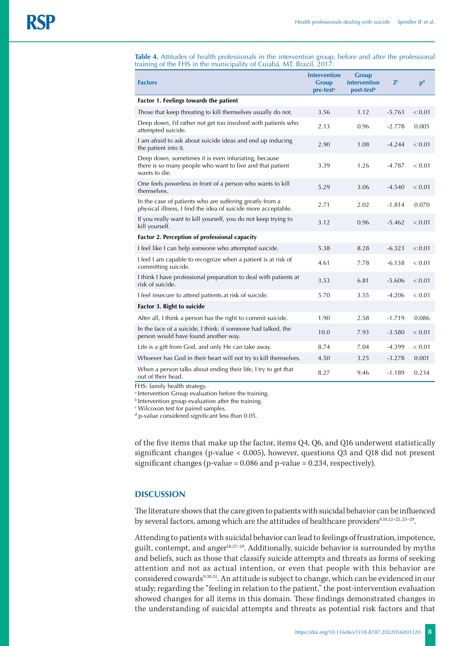**Table 4.** Attitudes of health professionals in the intervention group, before and after the professional training of the FHS in the municipality of Cuiabá, MT, Brazil, 2017.

| <b>Factors</b>                                                                                                                     | <b>Intervention</b><br><b>Group</b><br>pre-test <sup>a</sup> | <b>Group</b><br>intervention<br>post-test <sup>b</sup> | Z <sup>c</sup> | $\mathbf{p}^{\mathbf{d}}$ |  |  |  |
|------------------------------------------------------------------------------------------------------------------------------------|--------------------------------------------------------------|--------------------------------------------------------|----------------|---------------------------|--|--|--|
| Factor 1. Feelings towards the patient                                                                                             |                                                              |                                                        |                |                           |  |  |  |
| Those that keep threating to kill themselves usually do not.                                                                       | 3.56                                                         | 1.12                                                   | $-5.763$       | < 0.01                    |  |  |  |
| Deep down, I'd rather not get too involved with patients who<br>attempted suicide.                                                 | 2.13                                                         | 0.96                                                   | $-2.778$       | 0.005                     |  |  |  |
| I am afraid to ask about suicide ideas and end up inducing<br>the patient into it.                                                 | 2.90                                                         | 1.08                                                   | $-4.244$       | < 0.01                    |  |  |  |
| Deep down, sometimes it is even infuriating, because<br>there is so many people who want to live and that patient<br>wants to die. | 3.39                                                         | 1.26                                                   | $-4.787$       | < 0.01                    |  |  |  |
| One feels powerless in front of a person who wants to kill<br>themselves.                                                          | 5.29                                                         | 3.06                                                   | $-4.540$       | < 0.01                    |  |  |  |
| In the case of patients who are suffering greatly from a<br>physical illness, I find the idea of suicide more acceptable.          | 2.71                                                         | 2.02                                                   | $-1.814$       | 0.070                     |  |  |  |
| If you really want to kill yourself, you do not keep trying to<br>kill yourself.                                                   | 3.12                                                         | 0.96                                                   | $-5.462$       | < 0.01                    |  |  |  |
| Factor 2. Perception of professional capacity                                                                                      |                                                              |                                                        |                |                           |  |  |  |
| I feel like I can help someone who attempted suicide.                                                                              | 5.38                                                         | 8.28                                                   | $-6.323$       | < 0.01                    |  |  |  |
| I feel I am capable to recognize when a patient is at risk of<br>committing suicide.                                               | 4.61                                                         | 7.78                                                   | $-6.138$       | < 0.01                    |  |  |  |
| I think I have professional preparation to deal with patients at<br>risk of suicide.                                               | 3.53                                                         | 6.81                                                   | $-5.606$       | < 0.01                    |  |  |  |
| I feel insecure to attend patients at risk of suicide.                                                                             | 5.70                                                         | 3.55                                                   | $-4.206$       | < 0.01                    |  |  |  |
| Factor 3. Right to suicide                                                                                                         |                                                              |                                                        |                |                           |  |  |  |
| After all, I think a person has the right to commit suicide.                                                                       | 1.90                                                         | 2.58                                                   | $-1.719$       | 0.086                     |  |  |  |
| In the face of a suicide, I think: if someone had talked, the<br>person would have found another way.                              | 10.0                                                         | 7.93                                                   | $-3.580$       | < 0.01                    |  |  |  |
| Life is a gift from God, and only He can take away.                                                                                | 8.74                                                         | 7.04                                                   | $-4.399$       | < 0.01                    |  |  |  |
| Whoever has God in their heart will not try to kill themselves.                                                                    | 4.50                                                         | 3.25                                                   | $-3.278$       | 0.001                     |  |  |  |
| When a person talks about ending their life, I try to get that<br>out of their head.                                               | 8.27                                                         | 9.46                                                   | $-1.189$       | 0.234                     |  |  |  |

FHS: family health strategy.

<sup>a</sup> Intervention Group evaluation before the training.

**b** Intervention group evaluation after the training.

c Wilcoxon test for paired samples.

d p-value considered significant less than 0.05.

of the five items that make up the factor, items Q4, Q6, and Q16 underwent statistically significant changes (p-value < 0.005), however, questions Q3 and Q18 did not present significant changes (p-value = 0.086 and p-value = 0.234, respectively).

## **DISCUSSION**

The literature shows that the care given to patients with suicidal behavior can be influenced by several factors, among which are the attitudes of healthcare providers<sup>9,10,12-22, 25-29</sup>.

Attending to patients with suicidal behavior can lead to feelings of frustration, impotence, guilt, contempt, and anger18,27–29. Additionally, suicide behavior is surrounded by myths and beliefs, such as those that classify suicide attempts and threats as forms of seeking attention and not as actual intention, or even that people with this behavior are considered cowards<sup>9,30,31</sup>. An attitude is subject to change, which can be evidenced in our study; regarding the "feeling in relation to the patient," the post-intervention evaluation showed changes for all items in this domain. These findings demonstrated changes in the understanding of suicidal attempts and threats as potential risk factors and that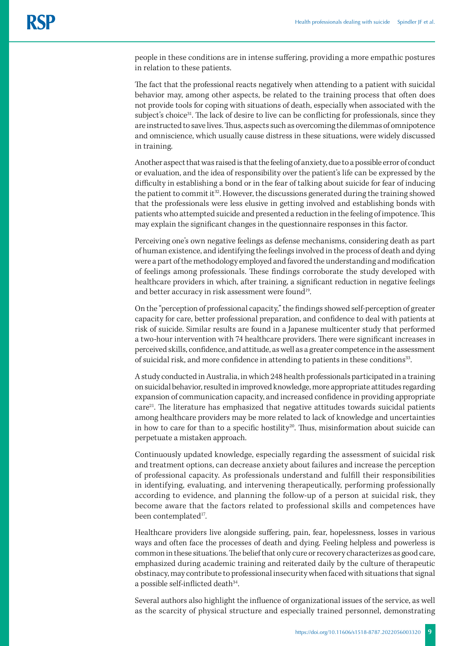people in these conditions are in intense suffering, providing a more empathic postures in relation to these patients.

The fact that the professional reacts negatively when attending to a patient with suicidal behavior may, among other aspects, be related to the training process that often does not provide tools for coping with situations of death, especially when associated with the subject's choice<sup>31</sup>. The lack of desire to live can be conflicting for professionals, since they are instructed to save lives. Thus, aspects such as overcoming the dilemmas of omnipotence and omniscience, which usually cause distress in these situations, were widely discussed in training.

Another aspect that was raised is that the feeling of anxiety, due to a possible error of conduct or evaluation, and the idea of responsibility over the patient's life can be expressed by the difficulty in establishing a bond or in the fear of talking about suicide for fear of inducing the patient to commit it<sup>32</sup>. However, the discussions generated during the training showed that the professionals were less elusive in getting involved and establishing bonds with patients who attempted suicide and presented a reduction in the feeling of impotence. This may explain the significant changes in the questionnaire responses in this factor.

Perceiving one's own negative feelings as defense mechanisms, considering death as part of human existence, and identifying the feelings involved in the process of death and dying were a part of the methodology employed and favored the understanding and modification of feelings among professionals. These findings corroborate the study developed with healthcare providers in which, after training, a significant reduction in negative feelings and better accuracy in risk assessment were found<sup>19</sup>.

On the "perception of professional capacity," the findings showed self-perception of greater capacity for care, better professional preparation, and confidence to deal with patients at risk of suicide. Similar results are found in a Japanese multicenter study that performed a two-hour intervention with 74 healthcare providers. There were significant increases in perceived skills, confidence, and attitude, as well as a greater competence in the assessment of suicidal risk, and more confidence in attending to patients in these conditions<sup>33</sup>.

A study conducted in Australia, in which 248 health professionals participated in a training on suicidal behavior, resulted in improved knowledge, more appropriate attitudes regarding expansion of communication capacity, and increased confidence in providing appropriate care<sup>21</sup>. The literature has emphasized that negative attitudes towards suicidal patients among healthcare providers may be more related to lack of knowledge and uncertainties in how to care for than to a specific hostility<sup>20</sup>. Thus, misinformation about suicide can perpetuate a mistaken approach.

Continuously updated knowledge, especially regarding the assessment of suicidal risk and treatment options, can decrease anxiety about failures and increase the perception of professional capacity. As professionals understand and fulfill their responsibilities in identifying, evaluating, and intervening therapeutically, performing professionally according to evidence, and planning the follow-up of a person at suicidal risk, they become aware that the factors related to professional skills and competences have been contemplated<sup>17</sup>.

Healthcare providers live alongside suffering, pain, fear, hopelessness, losses in various ways and often face the processes of death and dying. Feeling helpless and powerless is common in these situations. The belief that only cure or recovery characterizes as good care, emphasized during academic training and reiterated daily by the culture of therapeutic obstinacy, may contribute to professional insecurity when faced with situations that signal a possible self-inflicted death<sup>34</sup>.

Several authors also highlight the influence of organizational issues of the service, as well as the scarcity of physical structure and especially trained personnel, demonstrating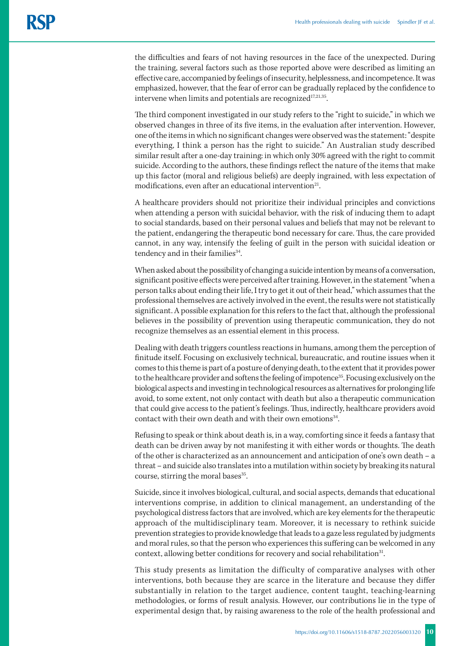the difficulties and fears of not having resources in the face of the unexpected. During the training, several factors such as those reported above were described as limiting an effective care, accompanied by feelings of insecurity, helplessness, and incompetence. It was emphasized, however, that the fear of error can be gradually replaced by the confidence to intervene when limits and potentials are recognized $17,21,35$ .

The third component investigated in our study refers to the "right to suicide," in which we observed changes in three of its five items, in the evaluation after intervention. However, one of the items in which no significant changes were observed was the statement: "despite everything, I think a person has the right to suicide." An Australian study described similar result after a one-day training: in which only 30% agreed with the right to commit suicide. According to the authors, these findings reflect the nature of the items that make up this factor (moral and religious beliefs) are deeply ingrained, with less expectation of modifications, even after an educational intervention $21$ .

A healthcare providers should not prioritize their individual principles and convictions when attending a person with suicidal behavior, with the risk of inducing them to adapt to social standards, based on their personal values and beliefs that may not be relevant to the patient, endangering the therapeutic bond necessary for care. Thus, the care provided cannot, in any way, intensify the feeling of guilt in the person with suicidal ideation or tendency and in their families<sup>34</sup>.

When asked about the possibility of changing a suicide intention by means of a conversation, significant positive effects were perceived after training. However, in the statement "when a person talks about ending their life, I try to get it out of their head," which assumes that the professional themselves are actively involved in the event, the results were not statistically significant. A possible explanation for this refers to the fact that, although the professional believes in the possibility of prevention using therapeutic communication, they do not recognize themselves as an essential element in this process.

Dealing with death triggers countless reactions in humans, among them the perception of finitude itself. Focusing on exclusively technical, bureaucratic, and routine issues when it comes to this theme is part of a posture of denying death, to the extent that it provides power to the healthcare provider and softens the feeling of impotence<sup>35</sup>. Focusing exclusively on the biological aspects and investing in technological resources as alternatives for prolonging life avoid, to some extent, not only contact with death but also a therapeutic communication that could give access to the patient's feelings. Thus, indirectly, healthcare providers avoid contact with their own death and with their own emotions<sup>34</sup>.

Refusing to speak or think about death is, in a way, comforting since it feeds a fantasy that death can be driven away by not manifesting it with either words or thoughts. The death of the other is characterized as an announcement and anticipation of one's own death – a threat – and suicide also translates into a mutilation within society by breaking its natural course, stirring the moral bases<sup>35</sup>.

Suicide, since it involves biological, cultural, and social aspects, demands that educational interventions comprise, in addition to clinical management, an understanding of the psychological distress factors that are involved, which are key elements for the therapeutic approach of the multidisciplinary team. Moreover, it is necessary to rethink suicide prevention strategies to provide knowledge that leads to a gaze less regulated by judgments and moral rules, so that the person who experiences this suffering can be welcomed in any context, allowing better conditions for recovery and social rehabilitation<sup>31</sup>.

This study presents as limitation the difficulty of comparative analyses with other interventions, both because they are scarce in the literature and because they differ substantially in relation to the target audience, content taught, teaching-learning methodologies, or forms of result analysis. However, our contributions lie in the type of experimental design that, by raising awareness to the role of the health professional and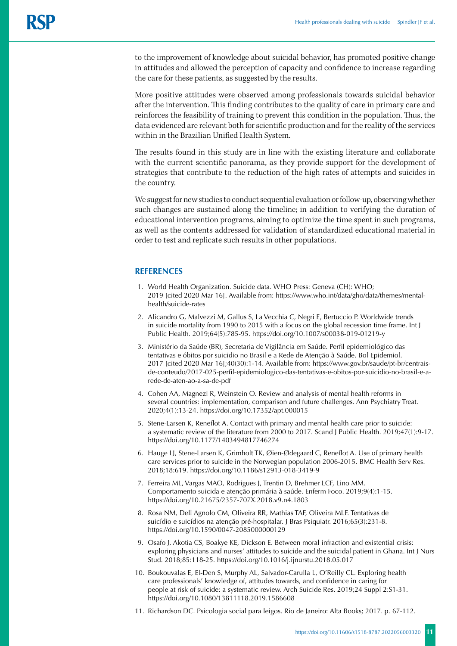to the improvement of knowledge about suicidal behavior, has promoted positive change in attitudes and allowed the perception of capacity and confidence to increase regarding the care for these patients, as suggested by the results.

More positive attitudes were observed among professionals towards suicidal behavior after the intervention. This finding contributes to the quality of care in primary care and reinforces the feasibility of training to prevent this condition in the population. Thus, the data evidenced are relevant both for scientific production and for the reality of the services within in the Brazilian Unified Health System.

The results found in this study are in line with the existing literature and collaborate with the current scientific panorama, as they provide support for the development of strategies that contribute to the reduction of the high rates of attempts and suicides in the country.

We suggest for new studies to conduct sequential evaluation or follow-up, observing whether such changes are sustained along the timeline; in addition to verifying the duration of educational intervention programs, aiming to optimize the time spent in such programs, as well as the contents addressed for validation of standardized educational material in order to test and replicate such results in other populations.

### **REFERENCES**

- 1. World Health Organization. Suicide data. WHO Press: Geneva (CH): WHO; 2019 [cited 2020 Mar 16]. Available from: [https://www.who.int/data/gho/data/themes/mental](https://www.who.int/data/gho/data/themes/mental-health/suicide-rates)[health/suicide-rates](https://www.who.int/data/gho/data/themes/mental-health/suicide-rates)
- 2. Alicandro G, Malvezzi M, Gallus S, La Vecchia C, Negri E, Bertuccio P. Worldwide trends in suicide mortality from 1990 to 2015 with a focus on the global recession time frame. Int J Public Health. 2019;64(5):785-95. https://doi.org/10.1007/s00038-019-01219-y
- 3. Ministério da Saúde (BR), Secretaria de Vigilância em Saúde. Perfil epidemiológico das tentativas e óbitos por suicidio no Brasil e a Rede de Atenção à Saúde. Bol Epidemiol. 2017 [cited 2020 Mar 16];40(30):1-14. Available from: https://www.gov.br/saude/pt-br/centraisde-conteudo/2017-025-perfil-epidemiologico-das-tentativas-e-obitos-por-suicidio-no-brasil-e-arede-de-aten-ao-a-sa-de-pdf
- 4. Cohen AA, Magnezi R, Weinstein O. Review and analysis of mental health reforms in several countries: implementation, comparison and future challenges. Ann Psychiatry Treat. 2020;4(1):13-24. https://doi.org/[10.17352/apt.000015](https://doi.org/10.17352/apt.000015)
- 5. Stene-Larsen K, Reneflot A. Contact with primary and mental health care prior to suicide: a systematic review of the literature from 2000 to 2017. Scand J Public Health. 2019;47(1):9-17. <https://doi.org/10.1177/1403494817746274>
- 6. Hauge LJ, Stene-Larsen K, Grimholt TK, Øien-Ødegaard C, Reneflot A. Use of primary health care services prior to suicide in the Norwegian population 2006-2015. BMC Health Serv Res. 2018;18:619. https://doi.org/10.1186/s12913-018-3419-9
- 7. Ferreira ML, Vargas MAO, Rodrigues J, Trentin D, Brehmer LCF, Lino MM. Comportamento suicida e atenção primária à saúde. Enferm Foco. 2019;9(4):1-15. <https://doi.org/10.21675/2357-707X.2018.v9.n4.1803>
- 8. Rosa NM, Dell Agnolo CM, Oliveira RR, Mathias TAF, Oliveira MLF. Tentativas de suicídio e suicídios na atenção pré-hospitalar. J Bras Psiquiatr. 2016;65(3):231-8. https://doi.org/10.1590/0047-2085000000129
- 9. Osafo J, Akotia CS, Boakye KE, Dickson E. Between moral infraction and existential crisis: exploring physicians and nurses' attitudes to suicide and the suicidal patient in Ghana. Int J Nurs Stud. 2018;85:118-25. https://doi.org/10.1016/j.ijnurstu.2018.05.017
- 10. Boukouvalas E, El-Den S, Murphy AL, Salvador-Carulla L, O'Reilly CL. Exploring health care professionals' knowledge of, attitudes towards, and confidence in caring for people at risk of suicide: a systematic review. Arch Suicide Res. 2019;24 Suppl 2:S1-31. <https://doi.org/10.1080/13811118.2019.1586608>
- 11. Richardson DC. Psicologia social para leigos. Rio de Janeiro: Alta Books; 2017. p. 67-112.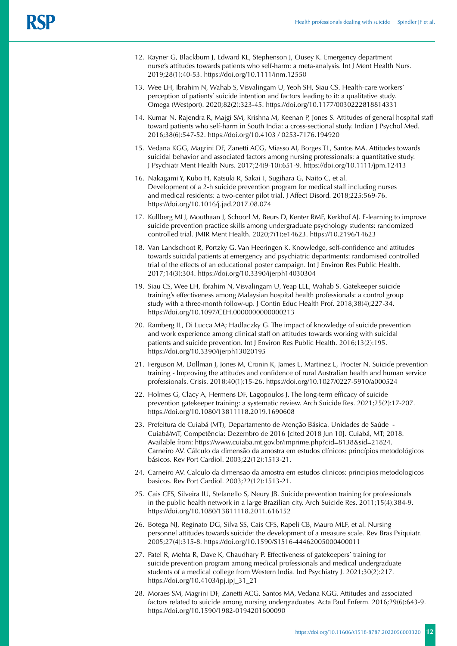- 12. Rayner G, Blackburn J, Edward KL, Stephenson J, Ousey K. Emergency department nurse's attitudes towards patients who self‐harm: a meta‐analysis. Int J Ment Health Nurs. 2019;28(1):40-53. <https://doi.org/10.1111/inm.12550>
- 13. Wee LH, Ibrahim N, Wahab S, Visvalingam U, Yeoh SH, Siau CS. Health-care workers' perception of patients' suicide intention and factors leading to it: a qualitative study. Omega (Westport). 2020;82(2):323-45. https://doi.org/10.1177/0030222818814331
- 14. Kumar N, Rajendra R, Majgi SM, Krishna M, Keenan P, Jones S. Attitudes of general hospital staff toward patients who self-harm in South India: a cross-sectional study. Indian J Psychol Med. 2016;38(6):547-52. https://doi.org/10.4103 / 0253-7176.194920
- 15. Vedana KGG, Magrini DF, Zanetti ACG, Miasso AI, Borges TL, Santos MA. Attitudes towards suicidal behavior and associated factors among nursing professionals: a quantitative study. J Psychiatr Ment Health Nurs. 2017;24(9-10):651-9. https://doi.org/10.1111/jpm.12413
- 16. Nakagami Y, Kubo H, Katsuki R, Sakai T, Sugihara G, Naito C, et al. Development of a 2-h suicide prevention program for medical staff including nurses and medical residents: a two-center pilot trial. J Affect Disord. 2018;225:569-76. <https://doi.org/10.1016/j.jad.2017.08.074>
- 17. Kullberg MLJ, Mouthaan J, Schoorl M, Beurs D, Kenter RMF, Kerkhof AJ. E-learning to improve suicide prevention practice skills among undergraduate psychology students: randomized controlled trial. JMIR Ment Health. 2020;7(1);e14623. https://[10.2196/14623](https://dx.doi.org/10.2196%2F14623)
- 18. Van Landschoot R, Portzky G, Van Heeringen K. Knowledge, self-confidence and attitudes towards suicidal patients at emergency and psychiatric departments: randomised controlled trial of the effects of an educational poster campaign. Int J Environ Res Public Health. 2017;14(3):304. <https://doi.org/10.3390/ijerph14030304>
- 19. Siau CS, Wee LH, Ibrahim N, Visvalingam U, Yeap LLL, Wahab S. Gatekeeper suicide training's effectiveness among Malaysian hospital health professionals: a control group study with a three-month follow-up. J Contin Educ Health Prof. 2018;38(4);227-34. https://doi.org/10.1097/CEH.0000000000000213
- 20. Ramberg IL, Di Lucca MA; Hadlaczky G. The impact of knowledge of suicide prevention and work experience among clinical staff on attitudes towards working with suicidal patients and suicide prevention. Int J Environ Res Public Health. 2016;13(2):195. https://doi.org/10.3390/ijerph13020195
- 21. Ferguson M, Dollman J, Jones M, Cronin K, James L, Martinez L, Procter N. Suicide prevention training - Improving the attitudes and confidence of rural Australian health and human service professionals. Crisis. 2018;40(1):15-26. <https://doi.org/10.1027/0227-5910/a000524>
- 22. Holmes G, Clacy A, Hermens DF, Lagopoulos J. The long-term efficacy of suicide prevention gatekeeper training: a systematic review. Arch Suicide Res. 2021;25(2):17-207. <https://doi.org/10.1080/13811118.2019.1690608>
- 23. Prefeitura de Cuiabá (MT), Departamento de Atenção Básica. Unidades de Saúde Cuiabá/MT, Competência: Dezembro de 2016 [cited 2018 Jun 10]. Cuiabá, MT; 2018. Available from: https://www.cuiaba.mt.gov.br/imprime.php?cid=8138&sid=21824. Carneiro AV. Cálculo da dimensão da amostra em estudos clínicos: princípios metodológicos básicos. Rev Port Cardiol. 2003;22(12):1513-21.
- 24. Carneiro AV. Calculo da dimensao da amostra em estudos clinicos: principios metodologicos basicos. Rev Port Cardiol. 2003;22(12):1513-21.
- 25. Cais CFS, Silveira IU, Stefanello S, Neury JB. Suicide prevention training for professionals in the public health network in a large Brazilian city. Arch Suicide Res. 2011;15(4):384-9. https://doi.org/10.1080/13811118.2011.616152
- 26. Botega NJ, Reginato DG, Silva SS, Cais CFS, Rapeli CB, Mauro MLF, et al. Nursing personnel attitudes towards suicide: the development of a measure scale. Rev Bras Psiquiatr. 2005;27(4):315-8. <https://doi.org/10.1590/S1516-44462005000400011>
- 27. Patel R, Mehta R, Dave K, Chaudhary P. Effectiveness of gatekeepers' training for suicide prevention program among medical professionals and medical undergraduate students of a medical college from Western India. Ind Psychiatry J. 2021;30(2):217. https://doi.org/10.4103/ipj.ipj\_31\_21
- 28. Moraes SM, Magrini DF, Zanetti ACG, Santos MA, Vedana KGG. Attitudes and associated factors related to suicide among nursing undergraduates. Acta Paul Enferm. 2016;29(6):643-9. <https://doi.org/10.1590/1982-0194201600090>